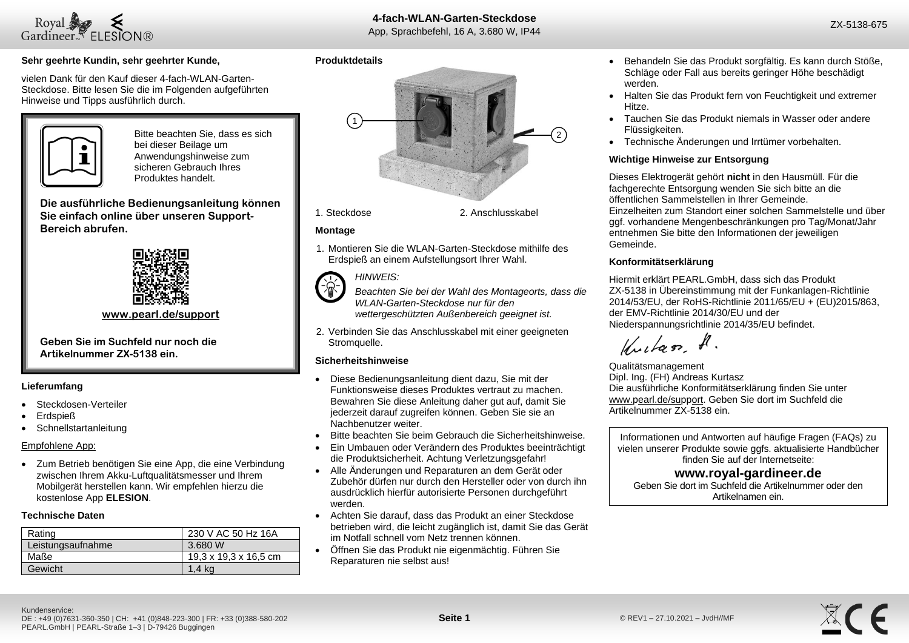

 $28$ CE

### **Sehr geehrte Kundin, sehr geehrter Kunde,**

vielen Dank für den Kauf dieser 4-fach-WLAN-Garten-Steckdose. Bitte lesen Sie die im Folgenden aufgeführten Hinweise und Tipps ausführlich durch.



Bitte beachten Sie, dass es sich bei dieser Beilage um Anwendungshinweise zum sicheren Gebrauch Ihres Produktes handelt.

**Die ausführliche Bedienungsanleitung können Sie einfach online über unseren Support-Bereich abrufen.**



**[www.pearl.de/support](http://www.pearl.de/support)**

**Geben Sie im Suchfeld nur noch die Artikelnummer ZX-5138 ein.**

### **Lieferumfang**

- Steckdosen-Verteiler
- Erdspieß
- **Schnellstartanleitung**

### Empfohlene App:

• Zum Betrieb benötigen Sie eine App, die eine Verbindung zwischen Ihrem Akku-Luftqualitätsmesser und Ihrem Mobilgerät herstellen kann. Wir empfehlen hierzu die kostenlose App **ELESION**.

### **Technische Daten**

| Rating            | 230 V AC 50 Hz 16A    |
|-------------------|-----------------------|
| Leistungsaufnahme | 3.680 W               |
| Maße              | 19,3 x 19,3 x 16,5 cm |
| Gewicht           | 1.4 ka                |

### **Produktdetails**





1. Steckdose 2. Anschlusskabel

### **Montage**

1. Montieren Sie die WLAN-Garten-Steckdose mithilfe des Erdspieß an einem Aufstellungsort Ihrer Wahl.



*Beachten Sie bei der Wahl des Montageorts, dass die WLAN-Garten-Steckdose nur für den wettergeschützten Außenbereich geeignet ist.*

2. Verbinden Sie das Anschlusskabel mit einer geeigneten Stromquelle.

### **Sicherheitshinweise**

- Diese Bedienungsanleitung dient dazu, Sie mit der Funktionsweise dieses Produktes vertraut zu machen. Bewahren Sie diese Anleitung daher gut auf, damit Sie jederzeit darauf zugreifen können. Geben Sie sie an Nachbenutzer weiter.
- Bitte beachten Sie beim Gebrauch die Sicherheitshinweise.
- Ein Umbauen oder Verändern des Produktes beeinträchtigt die Produktsicherheit. Achtung Verletzungsgefahr!
- Alle Änderungen und Reparaturen an dem Gerät oder Zubehör dürfen nur durch den Hersteller oder von durch ihn ausdrücklich hierfür autorisierte Personen durchgeführt werden.
- Achten Sie darauf, dass das Produkt an einer Steckdose betrieben wird, die leicht zugänglich ist, damit Sie das Gerät im Notfall schnell vom Netz trennen können.
- Öffnen Sie das Produkt nie eigenmächtig. Führen Sie Reparaturen nie selbst aus!
- Behandeln Sie das Produkt sorgfältig. Es kann durch Stöße, Schläge oder Fall aus bereits geringer Höhe beschädigt werden.
- Halten Sie das Produkt fern von Feuchtigkeit und extremer Hitze.
- Tauchen Sie das Produkt niemals in Wasser oder andere Flüssigkeiten.
- Technische Änderungen und Irrtümer vorbehalten.

### **Wichtige Hinweise zur Entsorgung**

Dieses Elektrogerät gehört **nicht** in den Hausmüll. Für die fachgerechte Entsorgung wenden Sie sich bitte an die öffentlichen Sammelstellen in Ihrer Gemeinde. Einzelheiten zum Standort einer solchen Sammelstelle und über ggf. vorhandene Mengenbeschränkungen pro Tag/Monat/Jahr entnehmen Sie bitte den Informationen der jeweiligen Gemeinde.

### **Konformitätserklärung**

Hiermit erklärt PEARL.GmbH, dass sich das Produkt ZX-5138 in Übereinstimmung mit der Funkanlagen-Richtlinie 2014/53/EU, der RoHS-Richtlinie 2011/65/EU + (EU)2015/863, der EMV-Richtlinie 2014/30/EU und der Niederspannungsrichtlinie 2014/35/EU befindet.

Kuitan, A.

Qualitätsmanagement Dipl. Ing. (FH) Andreas Kurtasz Die ausführliche Konformitätserklärung finden Sie unter www.pearl.de/support. Geben Sie dort im Suchfeld die Artikelnummer ZX-5138 ein.

Informationen und Antworten auf häufige Fragen (FAQs) zu vielen unserer Produkte sowie ggfs. aktualisierte Handbücher finden Sie auf der Internetseite:

# **www.royal-gardineer.de**

Geben Sie dort im Suchfeld die Artikelnummer oder den Artikelnamen ein.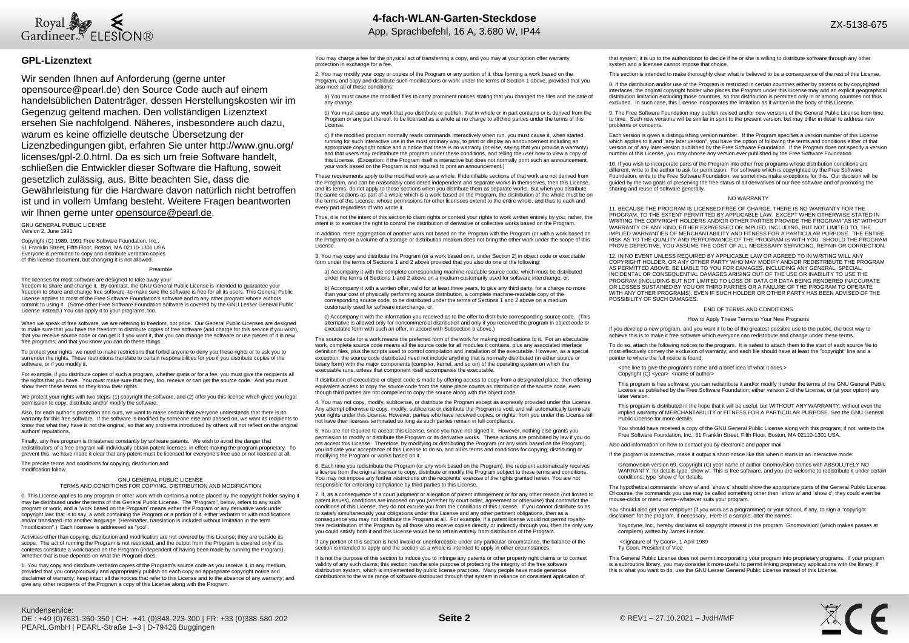

### **GPL-Lizenztext**

Wir senden Ihnen auf Anforderung (gerne unter opensource@pearl.de) den Source Code auch auf einem handelsüblichen Datenträger, dessen Herstellungskosten wir im Gegenzug geltend machen. Den vollständigen Lizenztext ersehen Sie nachfolgend. Näheres, insbesondere auch dazu, warum es keine offizielle deutsche Übersetzung der Lizenzbedingungen gibt, erfahren Sie unter http://www.gnu.org/ licenses/gpl-2.0.html. Da es sich um freie Software handelt, schließen die Entwickler dieser Software die Haftung, soweit gesetzlich zulässig, aus. Bitte beachten Sie, dass die Gewährleistung für die Hardware davon natürlich nicht betroffen ist und in vollem Umfang besteht. Weitere Fragen beantworten wir Ihnen gerne unter opensource@pearl.de

GNU GENERAL PUBLIC LICENSE Version 2, June 1991

Copyright (C) 1989, 1991 Free Software Foundation, Inc. 51 Franklin Street, Fifth Floor, Boston, MA 02110-1301 USA Everyone is permitted to copy and distribute verbatim copies of this license document, but changing it is not allowed.

#### Preamble

The licenses for most software are designed to take away your freedom to share and change it. By contrast, the GNU General Public License is intended to guarantee your freedom to share and change free software--to make sure the software is free for all its users. This General Public License applies to most of the Free Software Foundation's software and to any other program whose authors commit to using it. (Some other Free Software Foundation software is covered by the GNU Lesser General Public License instead.) You can apply it to your programs, too.

When we speak of free software, we are referring to freedom, not price. Our General Public Licenses are designed to make sure that you have the freedom to distribute copies of free software (and charge for this service if you wish), that you receive source code or can get it if you want it, that you can change the software or use pieces of it in new free programs; and that you know you can do these things.

To protect your rights, we need to make restrictions that forbid anyone to deny you these rights or to ask you to surrender the rights. These restrictions translate to certain responsibilities for you if you distribute copies of the software, or if you modify it.

For example, if you distribute copies of such a program, whether gratis or for a fee, you must give the recipients all the rights that you have. You must make sure that they, too, receive or can get the source code. And you must show them these terms so they know their rights.

We protect your rights with two steps: (1) copyright the software, and (2) offer you this license which gives you legal permission to copy, distribute and/or modify the software.

Also, for each author's protection and ours, we want to make certain that everyone understands that there is no warranty for this free software. If the software is modified by someone else and passed on, we want its recipients to<br>know that what they have is not the original, so that any problems introduced by others will not reflect authors' reputations.

Finally, any free program is threatened constantly by software patents. We wish to avoid the danger that redistributors of a free program will individually obtain patent licenses, in effect making the program proprietary. To prevent this, we have made it clear that any patent must be licensed for everyone's free use or not licensed at all.

The precise terms and conditions for copying, distribution and modification follow.

#### GNU GENERAL PUBLIC LICENSE TERMS AND CONDITIONS FOR COPYING, DISTRIBUTION AND MODIFICATION

0. This License applies to any program or other work which contains a notice placed by the copyright holder saying it may be distributed under the terms of this General Public License. The "Program", below, refers to any such program or work, and a "work based on the Program" means either the Program or any derivative work under copyright law: that is to say, a work containing the Program or a portion of it, either verbatim or with modifications and/or translated into another language. (Hereinafter, translation is included without limitation in the term "modification".) Each licensee is addressed as "you".

Activities other than copying, distribution and modification are not covered by this License; they are outside its scope. The act of running the Program is not restricted, and the output from the Program is covered only if its contents constitute a work based on the Program (independent of having been made by running the Program). Whether that is true depends on what the Program does.

1. You may copy and distribute verbatim copies of the Program's source code as you receive it, in any medium, provided that you conspicuously and appropriately publish on each copy an appropriate copyright notice and disclaimer of warranty; keep intact all the notices that refer to this License and to the absence of any warranty; and give any other recipients of the Program a copy of this License along with the Program.

You may charge a fee for the physical act of transferring a copy, and you may at your option offer warranty protection in exchange for a fee.

2. You may modify your copy or copies of the Program or any portion of it, thus forming a work based on the Program, and copy and distribute such modifications or work under the terms of Section 1 above, provided that you also meet all of these conditions:

a) You must cause the modified files to carry prominent notices stating that you changed the files and the date of any change.

b) You must cause any work that you distribute or publish, that in whole or in part contains or is derived from the Program or any part thereof, to be licensed as a whole at no charge to all third parties under the terms of this License.

c) If the modified program normally reads commands interactively when run, you must cause it, when started running for such interactive use in the most ordinary way, to print or display an announcement including an appropriate copyright notice and a notice that there is no warranty (or else, saying that you provide a warranty) and that users may redistribute the program under these conditions, and telling the user how to view a copy of this License. (Exception: if the Program itself is interactive but does not normally print such an announcement, your work based on the Program is not required to print an announcement.)

These requirements apply to the modified work as a whole. If identifiable sections of that work are not derived from the Program, and can be reasonably considered independent and separate works in themselves, then this License, and its terms, do not apply to those sections when you distribute them as separate works. But when you distribute the same sections as part of a whole which is a work based on the Program, the distribution of the whole must be on the terms of this License, whose permissions for other licensees extend to the entire whole, and thus to each and every part regardless of who wrote it.

Thus, it is not the intent of this section to claim rights or contest your rights to work written entirely by you; rather, the intent is to exercise the right to control the distribution of derivative or collective works based on the Program.

In addition, mere aggregation of another work not based on the Program with the Program (or with a work based on the Program) on a volume of a storage or distribution medium does not bring the other work under the scope of this License.

3. You may copy and distribute the Program (or a work based on it, under Section 2) in object code or executable form under the terms of Sections 1 and 2 above provided that you also do one of the following:

a) Accompany it with the complete corresponding machine-readable source code, which must be distributed under the terms of Sections 1 and 2 above on a medium customarily used for software interchange; or,

b) Accompany it with a written offer, valid for at least three years, to give any third party, for a charge no more than your cost of physically performing source distribution, a complete machine-readable copy of the corresponding source code, to be distributed under the terms of Sections 1 and 2 above on a medium customarily used for software interchange; or,

c) Accompany it with the information you received as to the offer to distribute corresponding source code. (This alternative is allowed only for noncommercial distribution and only if you received the program in object code or executable form with such an offer, in accord with Subsection b above.)

The source code for a work means the preferred form of the work for making modifications to it. For an executable work, complete source code means all the source code for all modules it contains, plus any associated interface definition files, plus the scripts used to control compilation and installation of the executable. However, as a special exception, the source code distributed need not include anything that is normally distributed (in either source or binary form) with the major components (compiler, kernel, and so on) of the operating system on which the executable runs, unless that component itself accompanies the executable.

If distribution of executable or object code is made by offering access to copy from a designated place, then offering equivalent access to copy the source code from the same place counts as distribution of the source code, even though third parties are not compelled to copy the source along with the object code.

4. You may not copy, modify, sublicense, or distribute the Program except as expressly provided under this License. Any attempt otherwise to copy, modify, sublicense or distribute the Program is void, and will automatically terminate your rights under this License. However, parties who have received copies, or rights, from you under this License will not have their licenses terminated so long as such parties remain in full compliance.

5. You are not required to accept this License, since you have not signed it. However, nothing else grants you permission to modify or distribute the Program or its derivative works. These actions are prohibited by law if you do not accept this License. Therefore, by modifying or distributing the Program (or any work based on the Program), you indicate your acceptance of this License to do so, and all its terms and conditions for copying, distributing or modifying the Program or works based on it.

6. Each time you redistribute the Program (or any work based on the Program), the recipient automatically receives<br>a license from the original licensor to copy, distribute or modify the Program subject to these terms and c You may not impose any further restrictions on the recipients' exercise of the rights granted herein. You are not responsible for enforcing compliance by third parties to this License.

7. If, as a consequence of a court judgment or allegation of patent infringement or for any other reason (not limited to patent issues), conditions are imposed on you (whether by court order, agreement or otherwise) that contradict the conditions of this License, they do not excuse you from the conditions of this License. If you cannot distribute so as to satisfy simultaneously your obligations under this License and any other pertinent obligations, then as a consequence you may not distribute the Program at all. For example, if a patent license would not permit royaltyfree redistribution of the Program by all those who receive copies directly or indirectly through you, then the only way you could satisfy both it and this License would be to refrain entirely from distribution of the Program.

If any portion of this section is held invalid or unenforceable under any particular circumstance, the balance of the section is intended to apply and the section as a whole is intended to apply in other circumstances.

It is not the purpose of this section to induce you to infringe any patents or other property right claims or to contest validity of any such claims; this section has the sole purpose of protecting the integrity of the free software distribution system, which is implemented by public license practices. Many people have made generous contributions to the wide range of software distributed through that system in reliance on consistent application of

that system; it is up to the author/donor to decide if he or she is willing to distribute software through any other system and a licensee cannot impose that choice.

This section is intended to make thoroughly clear what is believed to be a consequence of the rest of this License.

8. If the distribution and/or use of the Program is restricted in certain countries either by patents or by copyrighted interfaces, the original copyright holder who places the Program under this License may add an explicit geographical distribution limitation excluding those countries, so that distribution is permitted only in or among countries not thus excluded. In such case, this License incorporates the limitation as if written in the body of this License.

9. The Free Software Foundation may publish revised and/or new versions of the General Public License from time to time. Such new versions will be similar in spirit to the present version, but may differ in detail to address new problems or concerns.

Each version is given a distinguishing version number. If the Program specifies a version number of this License which applies to it and "any later version", you have the option of following the terms and conditions either of that version or of any later version published by the Free Software Foundation. If the Program does not specify a version number of this License, you may choose any version ever published by the Free Software Foundation.

10. If you wish to incorporate parts of the Program into other free programs whose distribution conditions are different, write to the author to ask for permission. For software which is copyrighted by the Free Software Foundation, write to the Free Software Foundation; we sometimes make exceptions for this. Our decision will be guided by the two goals of preserving the free status of all derivatives of our free software and of promoting the galacd by the two goals or preserving the<br>sharing and reuse of software generally.

#### NO WARRANTY

11. BECAUSE THE PROGRAM IS LICENSED FREE OF CHARGE, THERE IS NO WARRANTY FOR THE PROGRAM, TO THE EXTENT PERMITTED BY APPLICABLE LAW. EXCEPT WHEN OTHERWISE STATED IN WRITING THE COPYRIGHT HOLDERS AND/OR OTHER PARTIES PROVIDE THE PROGRAM "AS IS" WITHOUT WARRANTY OF ANY KIND, EITHER EXPRESSED OR IMPLIED, INCLUDING, BUT NOT LIMITED TO, THE IMPLIED WARRANTIES OF MERCHANTABILITY AND FITNESS FOR A PARTICULAR PURPOSE. THE ENTIRE RISK AS TO THE QUALITY AND PERFORMANCE OF THE PROGRAM IS WITH YOU. SHOULD THE PROGRAM PROVE DEFECTIVE, YOU ASSUME THE COST OF ALL NECESSARY SERVICING, REPAIR OR CORRECTION.

12. IN NO EVENT UNLESS REQUIRED BY APPLICABLE LAW OR AGREED TO IN WRITING WILL ANY COPYRIGHT HOLDER, OR ANY OTHER PARTY WHO MAY MODIFY AND/OR REDISTRIBUTE THE PROGRAM AS PERMITTED ABOVE, BE LIABLE TO YOU FOR DAMAGES, INCLUDING ANY GENERAL, SPECIAL, INCIDENTAL OR CONSEQUENTIAL DAMAGES ARISING OUT OF THE USE OR INABILITY TO USE THE PROGRAM (INCLUDING BUT NOT LIMITED TO LOSS OF DATA OR DATA BEING RENDERED INACCURATE OR LOSSES SUSTAINED BY YOU OR THIRD PARTIES OR A FAILURE OF THE PROGRAM TO OPERATE WITH ANY OTHER PROGRAMS), EVEN IF SUCH HOLDER OR OTHER PARTY HAS BEEN ADVISED OF THE POSSIBILITY OF SUCH DAMAGES.

#### END OF TERMS AND CONDITIONS

#### How to Apply These Terms to Your New Programs

If you develop a new program, and you want it to be of the greatest possible use to the public, the best way to achieve this is to make it free software which everyone can redistribute and change under these terms.

To do so, attach the following notices to the program. It is safest to attach them to the start of each source file to most effectively convey the exclusion of warranty; and each file should have at least the "copyright" line and a pointer to where the full notice is found.

<one line to give the program's name and a brief idea of what it does.> Copyright (C) <year> <name of author>

This program is free software; you can redistribute it and/or modify it under the terms of the GNU General Public License as published by the Free Software Foundation; either version 2 of the License, or (at your option) any later version.

This program is distributed in the hope that it will be useful, but WITHOUT ANY WARRANTY; without even the implied warranty of MERCHANTABILITY or FITNESS FOR A PARTICULAR PURPOSE. See the GNU General Public License for more details.

You should have received a copy of the GNU General Public License along with this program; if not, write to the Free Software Foundation, Inc., 51 Franklin Street, Fifth Floor, Boston, MA 02110-1301 USA.

Also add information on how to contact you by electronic and paper mail.

If the program is interactive, make it output a short notice like this when it starts in an interactive mode:

Gnomovision version 69, Copyright (C) year name of author Gnomovision comes with ABSOLUTELY NO WARRANTY; for details type `show w'. This is free software, and you are welcome to redistribute it under certain conditions; type `show c' for details.

The hypothetical commands `show w' and `show c' should show the appropriate parts of the General Public License. Of course, the commands you use may be called something other than `show w' and `show c'; they could even be mouse-clicks or menu items--whatever suits your program.

You should also get your employer (if you work as a programmer) or your school, if any, to sign a "copyright disclaimer" for the program, if necessary. Here is a sample; alter the names:

Yoyodyne, Inc., hereby disclaims all copyright interest in the program `Gnomovision' (which makes passes at compilers) written by James Hacker.

<signature of Ty Coon>, 1 April 1989 Ty Coon, President of Vice

This General Public License does not permit incorporating your program into proprietary programs. If your program is a subroutine library, you may consider it more useful to permit linking proprietary applications with the library. If this is what you want to do, use the GNU Lesser General Public License instead of this License.

 $\mathbb{X}$ CE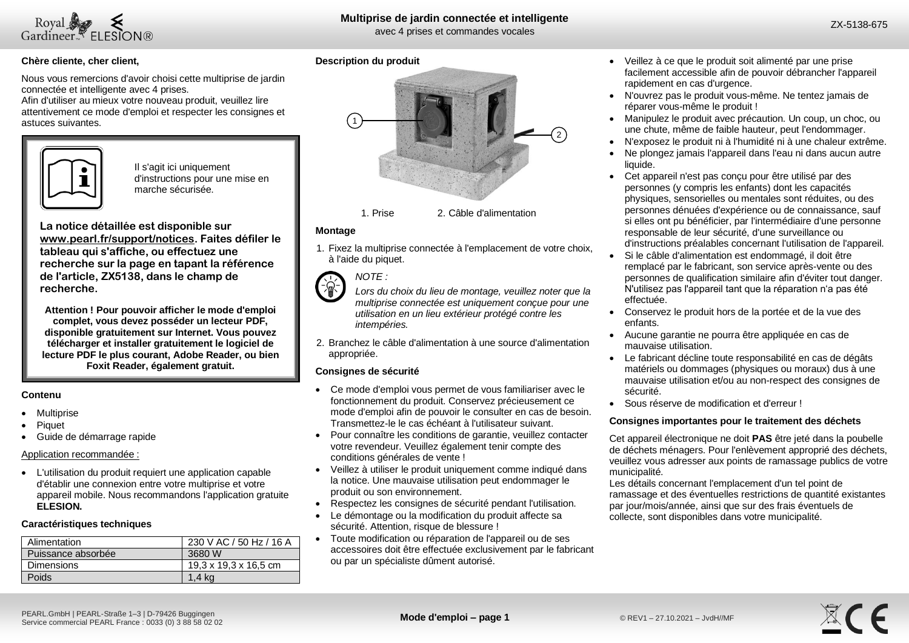

# **Multiprise de jardin connectée et intelligente**

avec 4 prises et commandes vocales

 $20<sup>2</sup>$ 

## **Chère cliente, cher client,**

Nous vous remercions d'avoir choisi cette multiprise de jardin connectée et intelligente avec 4 prises.

Afin d'utiliser au mieux votre nouveau produit, veuillez lire attentivement ce mode d'emploi et respecter les consignes et astuces suivantes.



Il s'agit ici uniquement d'instructions pour une mise en marche sécurisée.

**La notice détaillée est disponible sur www.pearl.fr/support/notices. Faites défiler le tableau qui s'affiche, ou effectuez une recherche sur la page en tapant la référence de l'article, ZX5138, dans le champ de recherche.**

**Attention ! Pour pouvoir afficher le mode d'emploi complet, vous devez posséder un lecteur PDF, disponible gratuitement sur Internet. Vous pouvez télécharger et installer gratuitement le logiciel de lecture PDF le plus courant, Adobe Reader, ou bien Foxit Reader, également gratuit.** 

### **Contenu**

- **Multiprise**
- Piquet
- Guide de démarrage rapide

### Application recommandée :

• L'utilisation du produit requiert une application capable d'établir une connexion entre votre multiprise et votre appareil mobile. Nous recommandons l'application gratuite **ELESION.**

### **Caractéristiques techniques**

| Alimentation       | 230 V AC / 50 Hz / 16 A |
|--------------------|-------------------------|
| Puissance absorbée | 3680 W                  |
| Dimensions         | 19,3 x 19,3 x 16,5 cm   |
| <b>Poids</b>       | 1.4 ka                  |

### **Description du produit**





### **Montage**

1. Fixez la multiprise connectée à l'emplacement de votre choix, à l'aide du piquet.



*Lors du choix du lieu de montage, veuillez noter que la multiprise connectée est uniquement conçue pour une utilisation en un lieu extérieur protégé contre les intempéries.*

2. Branchez le câble d'alimentation à une source d'alimentation appropriée.

### **Consignes de sécurité**

- Ce mode d'emploi vous permet de vous familiariser avec le fonctionnement du produit. Conservez précieusement ce mode d'emploi afin de pouvoir le consulter en cas de besoin. Transmettez-le le cas échéant à l'utilisateur suivant.
- Pour connaître les conditions de garantie, veuillez contacter votre revendeur. Veuillez également tenir compte des conditions générales de vente !
- Veillez à utiliser le produit uniquement comme indiqué dans la notice. Une mauvaise utilisation peut endommager le produit ou son environnement.
- Respectez les consignes de sécurité pendant l'utilisation.
- Le démontage ou la modification du produit affecte sa sécurité. Attention, risque de blessure !
- Toute modification ou réparation de l'appareil ou de ses accessoires doit être effectuée exclusivement par le fabricant ou par un spécialiste dûment autorisé.
- Veillez à ce que le produit soit alimenté par une prise facilement accessible afin de pouvoir débrancher l'appareil rapidement en cas d'urgence.
- N'ouvrez pas le produit vous-même. Ne tentez jamais de réparer vous-même le produit !
- Manipulez le produit avec précaution. Un coup, un choc, ou une chute, même de faible hauteur, peut l'endommager.
- N'exposez le produit ni à l'humidité ni à une chaleur extrême.
- Ne plongez jamais l'appareil dans l'eau ni dans aucun autre liquide.
- Cet appareil n'est pas conçu pour être utilisé par des personnes (y compris les enfants) dont les capacités physiques, sensorielles ou mentales sont réduites, ou des personnes dénuées d'expérience ou de connaissance, sauf si elles ont pu bénéficier, par l'intermédiaire d'une personne responsable de leur sécurité, d'une surveillance ou d'instructions préalables concernant l'utilisation de l'appareil.
- Si le câble d'alimentation est endommagé, il doit être remplacé par le fabricant, son service après-vente ou des personnes de qualification similaire afin d'éviter tout danger. N'utilisez pas l'appareil tant que la réparation n'a pas été effectuée.
- Conservez le produit hors de la portée et de la vue des enfants.
- Aucune garantie ne pourra être appliquée en cas de mauvaise utilisation.
- Le fabricant décline toute responsabilité en cas de dégâts matériels ou dommages (physiques ou moraux) dus à une mauvaise utilisation et/ou au non-respect des consignes de sécurité.
- Sous réserve de modification et d'erreur !

### **Consignes importantes pour le traitement des déchets**

Cet appareil électronique ne doit **PAS** être jeté dans la poubelle de déchets ménagers. Pour l'enlèvement approprié des déchets, veuillez vous adresser aux points de ramassage publics de votre municipalité.

Les détails concernant l'emplacement d'un tel point de ramassage et des éventuelles restrictions de quantité existantes par jour/mois/année, ainsi que sur des frais éventuels de collecte, sont disponibles dans votre municipalité.